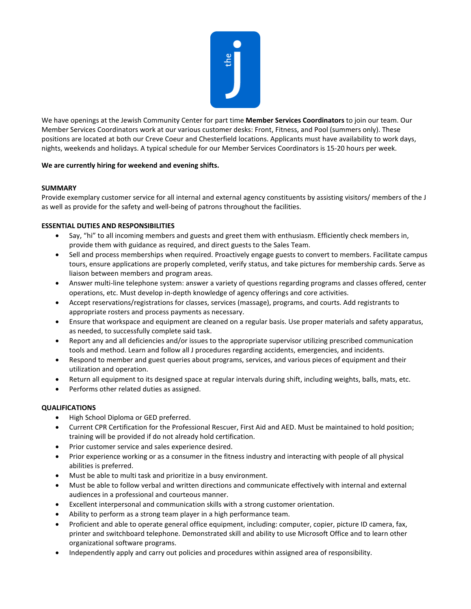

We have openings at the Jewish Community Center for part time **Member Services Coordinators** to join our team. Our Member Services Coordinators work at our various customer desks: Front, Fitness, and Pool (summers only). These positions are located at both our Creve Coeur and Chesterfield locations. Applicants must have availability to work days, nights, weekends and holidays. A typical schedule for our Member Services Coordinators is 15-20 hours per week.

## **We are currently hiring for weekend and evening shifts.**

## **SUMMARY**

Provide exemplary customer service for all internal and external agency constituents by assisting visitors/ members of the J as well as provide for the safety and well-being of patrons throughout the facilities.

## **ESSENTIAL DUTIES AND RESPONSIBILITIES**

- Say, "hi" to all incoming members and guests and greet them with enthusiasm. Efficiently check members in, provide them with guidance as required, and direct guests to the Sales Team.
- Sell and process memberships when required. Proactively engage guests to convert to members. Facilitate campus tours, ensure applications are properly completed, verify status, and take pictures for membership cards. Serve as liaison between members and program areas.
- Answer multi-line telephone system: answer a variety of questions regarding programs and classes offered, center operations, etc. Must develop in-depth knowledge of agency offerings and core activities.
- Accept reservations/registrations for classes, services (massage), programs, and courts. Add registrants to appropriate rosters and process payments as necessary.
- Ensure that workspace and equipment are cleaned on a regular basis. Use proper materials and safety apparatus, as needed, to successfully complete said task.
- Report any and all deficiencies and/or issues to the appropriate supervisor utilizing prescribed communication tools and method. Learn and follow all J procedures regarding accidents, emergencies, and incidents.
- Respond to member and guest queries about programs, services, and various pieces of equipment and their utilization and operation.
- Return all equipment to its designed space at regular intervals during shift, including weights, balls, mats, etc.
- Performs other related duties as assigned.

## **QUALIFICATIONS**

- High School Diploma or GED preferred.
- Current CPR Certification for the Professional Rescuer, First Aid and AED. Must be maintained to hold position; training will be provided if do not already hold certification.
- Prior customer service and sales experience desired.
- Prior experience working or as a consumer in the fitness industry and interacting with people of all physical abilities is preferred.
- Must be able to multi task and prioritize in a busy environment.
- Must be able to follow verbal and written directions and communicate effectively with internal and external audiences in a professional and courteous manner.
- Excellent interpersonal and communication skills with a strong customer orientation.
- Ability to perform as a strong team player in a high performance team.
- Proficient and able to operate general office equipment, including: computer, copier, picture ID camera, fax, printer and switchboard telephone. Demonstrated skill and ability to use Microsoft Office and to learn other organizational software programs.
- Independently apply and carry out policies and procedures within assigned area of responsibility.